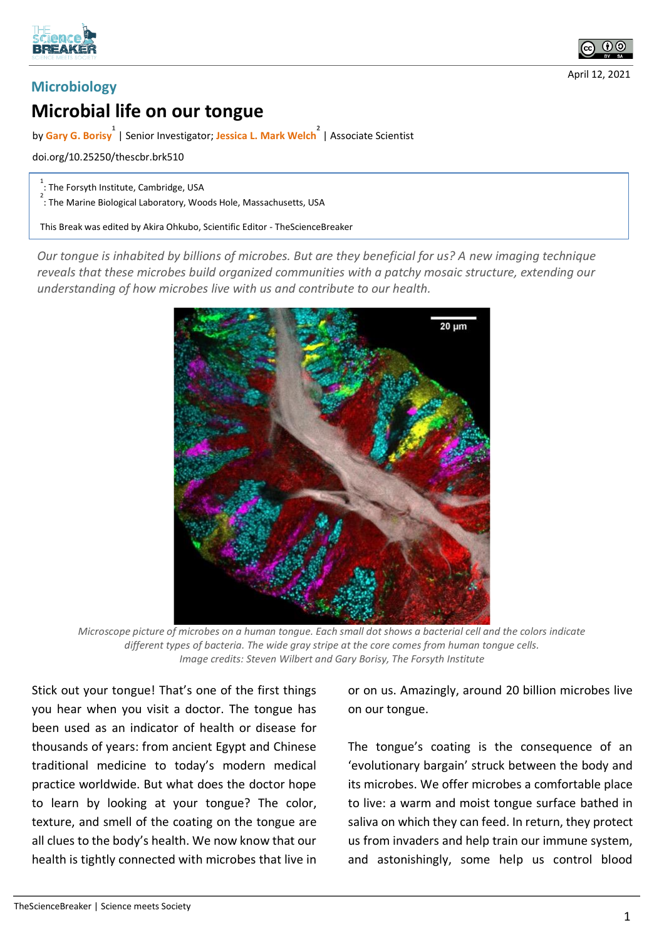



## **Microbiology**

## **Microbial life on our tongue**

by **Gary G. Borisy 1** | Senior Investigator; **Jessica L. Mark Welch 2** | Associate Scientist

doi.org/10.25250/thescbr.brk510

 $1$ : The Forsyth Institute, Cambridge, USA

<sup>2</sup> : The Marine Biological Laboratory, Woods Hole, Massachusetts, USA

This Break was edited by Akira Ohkubo, Scientific Editor - TheScienceBreaker

*Our tongue is inhabited by billions of microbes. But are they beneficial for us? A new imaging technique reveals that these microbes build organized communities with a patchy mosaic structure, extending our understanding of how microbes live with us and contribute to our health.*



*Microscope picture of microbes on a human tongue. Each small dot shows a bacterial cell and the colors indicate different types of bacteria. The wide gray stripe at the core comes from human tongue cells. Image credits: Steven Wilbert and Gary Borisy, The Forsyth Institute*

Stick out your tongue! That's one of the first things you hear when you visit a doctor. The tongue has been used as an indicator of health or disease for thousands of years: from ancient Egypt and Chinese traditional medicine to today's modern medical practice worldwide. But what does the doctor hope to learn by looking at your tongue? The color, texture, and smell of the coating on the tongue are all clues to the body's health. We now know that our health is tightly connected with microbes that live in

or on us. Amazingly, around 20 billion microbes live on our tongue.

The tongue's coating is the consequence of an 'evolutionary bargain' struck between the body and its microbes. We offer microbes a comfortable place to live: a warm and moist tongue surface bathed in saliva on which they can feed. In return, they protect us from invaders and help train our immune system, and astonishingly, some help us control blood